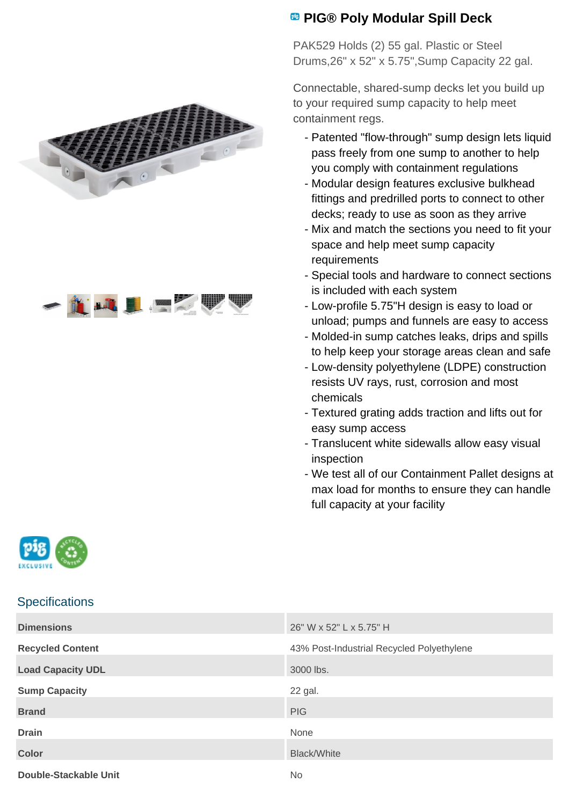



## **PIG® Poly Modular Spill Deck**

PAK529 Holds (2) 55 gal. Plastic or Steel Drums,26" x 52" x 5.75",Sump Capacity 22 gal.

Connectable, shared-sump decks let you build up to your required sump capacity to help meet containment regs.

- Patented "flow-through" sump design lets liquid pass freely from one sump to another to help you comply with containment regulations
- Modular design features exclusive bulkhead fittings and predrilled ports to connect to other decks; ready to use as soon as they arrive
- Mix and match the sections you need to fit your space and help meet sump capacity requirements
- Special tools and hardware to connect sections is included with each system
- Low-profile 5.75"H design is easy to load or unload; pumps and funnels are easy to access
- Molded-in sump catches leaks, drips and spills to help keep your storage areas clean and safe
- Low-density polyethylene (LDPE) construction resists UV rays, rust, corrosion and most chemicals
- Textured grating adds traction and lifts out for easy sump access
- Translucent white sidewalls allow easy visual inspection
- We test all of our Containment Pallet designs at max load for months to ensure they can handle full capacity at your facility



## **Specifications**

| <b>Dimensions</b>        | 26" W x 52" L x 5.75" H                   |
|--------------------------|-------------------------------------------|
| <b>Recycled Content</b>  | 43% Post-Industrial Recycled Polyethylene |
| <b>Load Capacity UDL</b> | 3000 lbs.                                 |
| <b>Sump Capacity</b>     | 22 gal.                                   |
| <b>Brand</b>             | <b>PIG</b>                                |
| <b>Drain</b>             | None                                      |
| <b>Color</b>             | <b>Black/White</b>                        |
| Double-Stackable Unit    | No.                                       |